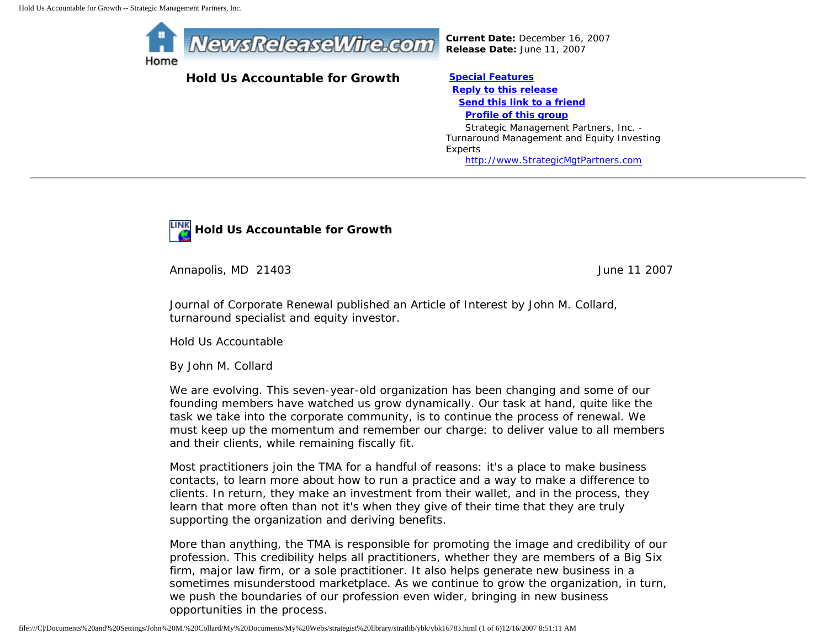

## **Hold Us Accountable for Growth [Special Features](javascript:openlittleme()**

*Current Date:* December 16, 2007 *Release Date:* June 11, 2007

 **[Reply to this release](file:///C|/Documents%20and%20Settings/John%20M.%20Collard/My%20Documents/My%20Webs/strategist%20library/stratlib/ybk/default.cfm?Action=ReplyRelease&Id=16783) [Send this link to a friend](file:///C|/Documents%20and%20Settings/John%20M.%20Collard/My%20Documents/My%20Webs/strategist%20library/stratlib/ybk/default.cfm?Action=SendLink&SendId=16783) [Profile of this group](file:///C|/Documents%20and%20Settings/John%20M.%20Collard/My%20Documents/My%20Webs/strategist%20library/stratlib/ybk/default.cfm?Action=Profile&ProfileId=623)** Strategic Management Partners, Inc. -

Turnaround Management and Equity Investing Experts [http://www.StrategicMgtPartners.com](http://www.strategicmgtpartners.com/)



Annapolis, MD 21403 **June 11 2007** 

Journal of Corporate Renewal published an Article of Interest by John M. Collard, turnaround specialist and equity investor.

Hold Us Accountable

By John M. Collard

We are evolving. This seven-year-old organization has been changing and some of our founding members have watched us grow dynamically. Our task at hand, quite like the task we take into the corporate community, is to continue the process of renewal. We must keep up the momentum and remember our charge: to deliver value to all members and their clients, while remaining fiscally fit.

Most practitioners join the TMA for a handful of reasons: it's a place to make business contacts, to learn more about how to run a practice and a way to make a difference to clients. In return, they make an investment from their wallet, and in the process, they learn that more often than not it's when they give of their time that they are truly supporting the organization and deriving benefits.

More than anything, the TMA is responsible for promoting the image and credibility of our profession. This credibility helps all practitioners, whether they are members of a Big Six firm, major law firm, or a sole practitioner. It also helps generate new business in a sometimes misunderstood marketplace. As we continue to grow the organization, in turn, we push the boundaries of our profession even wider, bringing in new business opportunities in the process.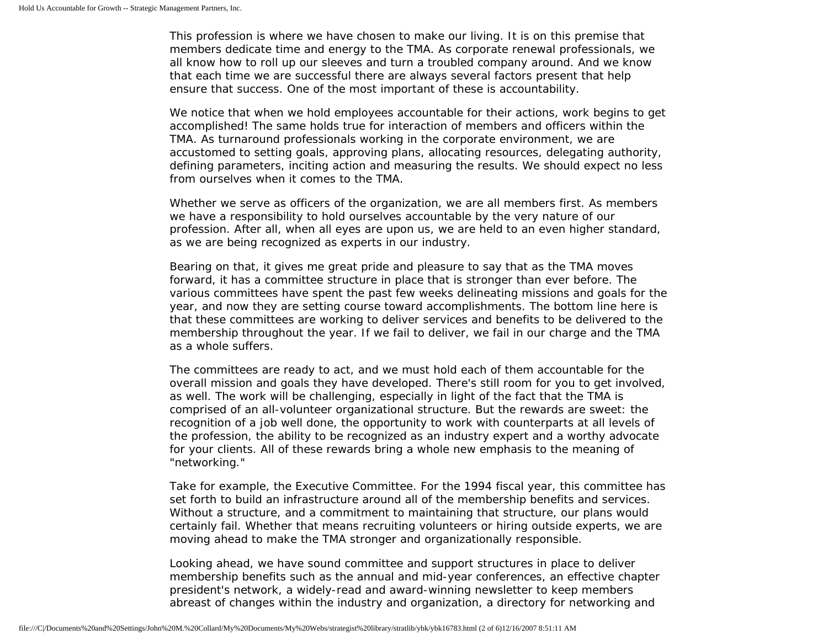This profession is where we have chosen to make our living. It is on this premise that members dedicate time and energy to the TMA. As corporate renewal professionals, we all know how to roll up our sleeves and turn a troubled company around. And we know that each time we are successful there are always several factors present that help ensure that success. One of the most important of these is accountability.

We notice that when we hold employees accountable for their actions, work begins to get accomplished! The same holds true for interaction of members and officers within the TMA. As turnaround professionals working in the corporate environment, we are accustomed to setting goals, approving plans, allocating resources, delegating authority, defining parameters, inciting action and measuring the results. We should expect no less from ourselves when it comes to the TMA.

Whether we serve as officers of the organization, we are all members first. As members we have a responsibility to hold ourselves accountable by the very nature of our profession. After all, when all eyes are upon us, we are held to an even higher standard, as we are being recognized as experts in our industry.

Bearing on that, it gives me great pride and pleasure to say that as the TMA moves forward, it has a committee structure in place that is stronger than ever before. The various committees have spent the past few weeks delineating missions and goals for the year, and now they are setting course toward accomplishments. The bottom line here is that these committees are working to deliver services and benefits to be delivered to the membership throughout the year. If we fail to deliver, we fail in our charge and the TMA as a whole suffers.

The committees are ready to act, and we must hold each of them accountable for the overall mission and goals they have developed. There's still room for you to get involved, as well. The work will be challenging, especially in light of the fact that the TMA is comprised of an all-volunteer organizational structure. But the rewards are sweet: the recognition of a job well done, the opportunity to work with counterparts at all levels of the profession, the ability to be recognized as an industry expert and a worthy advocate for your clients. All of these rewards bring a whole new emphasis to the meaning of "networking."

Take for example, the Executive Committee. For the 1994 fiscal year, this committee has set forth to build an infrastructure around all of the membership benefits and services. Without a structure, and a commitment to maintaining that structure, our plans would certainly fail. Whether that means recruiting volunteers or hiring outside experts, we are moving ahead to make the TMA stronger and organizationally responsible.

Looking ahead, we have sound committee and support structures in place to deliver membership benefits such as the annual and mid-year conferences, an effective chapter president's network, a widely-read and award-winning newsletter to keep members abreast of changes within the industry and organization, a directory for networking and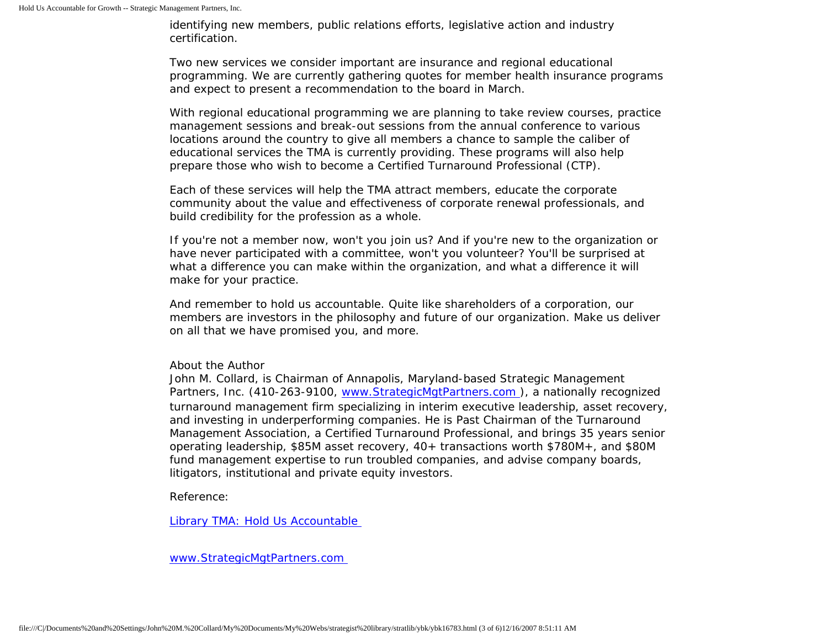identifying new members, public relations efforts, legislative action and industry certification.

Two new services we consider important are insurance and regional educational programming. We are currently gathering quotes for member health insurance programs and expect to present a recommendation to the board in March.

With regional educational programming we are planning to take review courses, practice management sessions and break-out sessions from the annual conference to various locations around the country to give all members a chance to sample the caliber of educational services the TMA is currently providing. These programs will also help prepare those who wish to become a Certified Turnaround Professional (CTP).

Each of these services will help the TMA attract members, educate the corporate community about the value and effectiveness of corporate renewal professionals, and build credibility for the profession as a whole.

If you're not a member now, won't you join us? And if you're new to the organization or have never participated with a committee, won't you volunteer? You'll be surprised at what a difference you can make within the organization, and what a difference it will make for your practice.

And remember to hold us accountable. Quite like shareholders of a corporation, our members are investors in the philosophy and future of our organization. Make us deliver on all that we have promised you, and more.

## About the Author

John M. Collard, is Chairman of Annapolis, Maryland-based Strategic Management Partners, Inc. (410-263-9100, [www.StrategicMgtPartners.com](http://www.strategicmgtpartners.com/) ), a nationally recognized turnaround management firm specializing in interim executive leadership, asset recovery, and investing in underperforming companies. He is Past Chairman of the Turnaround Management Association, a Certified Turnaround Professional, and brings 35 years senior operating leadership, \$85M asset recovery, 40+ transactions worth \$780M+, and \$80M fund management expertise to run troubled companies, and advise company boards, litigators, institutional and private equity investors.

Reference:

[Library TMA: Hold Us Accountable](http://www.turnaround.org/news/letter.asp?objectID=2090)

[www.StrategicMgtPartners.com](http://www.strategicmgtpartners.com/)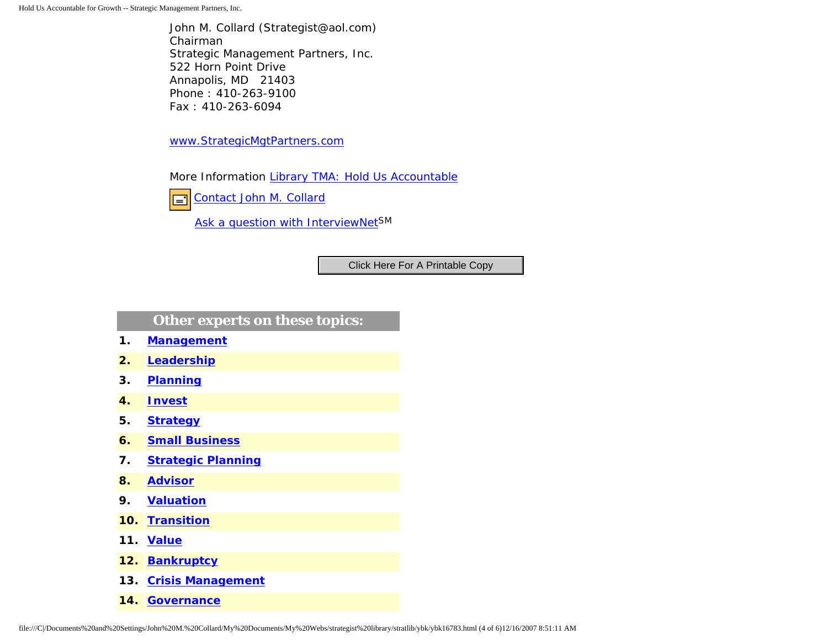John M. Collard (Strategist@aol.com) Chairman Strategic Management Partners, Inc. 522 Horn Point Drive Annapolis, MD 21403 Phone : 410-263-9100 Fax : 410-263-6094

[www.StrategicMgtPartners.com](http://www.strategicmgtpartners.com/)

More Information [Library TMA: Hold Us Accountable](http://www.turnaround.org/news/letter.asp?objectID=2090)

[Contact John M. Collard](http://www.expertclick.com/expertClick/contact/default.cfm?Action=ContactExpert&GroupID=1016) 囯

[Ask a question with InterviewNetS](http://www.expertclick.com/expertClick/contact/default.cfm?GroupID=1016)M

## **Other experts on these topics:**

- **1. [Management](http://www.expertclick.com/search/default.cfm?SearchCriteria=Management)**
- **2. [Leadership](http://www.expertclick.com/search/default.cfm?SearchCriteria=Leadership)**
- **3. [Planning](http://www.expertclick.com/search/default.cfm?SearchCriteria=Planning)**
- **4. [Invest](http://www.expertclick.com/search/default.cfm?SearchCriteria=Invest)**
- **5. [Strategy](http://www.expertclick.com/search/default.cfm?SearchCriteria=Strategy)**
- **6. [Small Business](http://www.expertclick.com/search/default.cfm?SearchCriteria=Small Business)**
- **7. [Strategic Planning](http://www.expertclick.com/search/default.cfm?SearchCriteria=Strategic Planning)**
- **8. [Advisor](http://www.expertclick.com/search/default.cfm?SearchCriteria=Advisor)**
- **9. [Valuation](http://www.expertclick.com/search/default.cfm?SearchCriteria=Valuation)**
- **10. [Transition](http://www.expertclick.com/search/default.cfm?SearchCriteria=Transition)**
- **11. [Value](http://www.expertclick.com/search/default.cfm?SearchCriteria=Value)**
- **12. [Bankruptcy](http://www.expertclick.com/search/default.cfm?SearchCriteria=Bankruptcy)**
- **13. [Crisis Management](http://www.expertclick.com/search/default.cfm?SearchCriteria=Crisis Management)**
- **14. [Governance](http://www.expertclick.com/search/default.cfm?SearchCriteria=Governance)**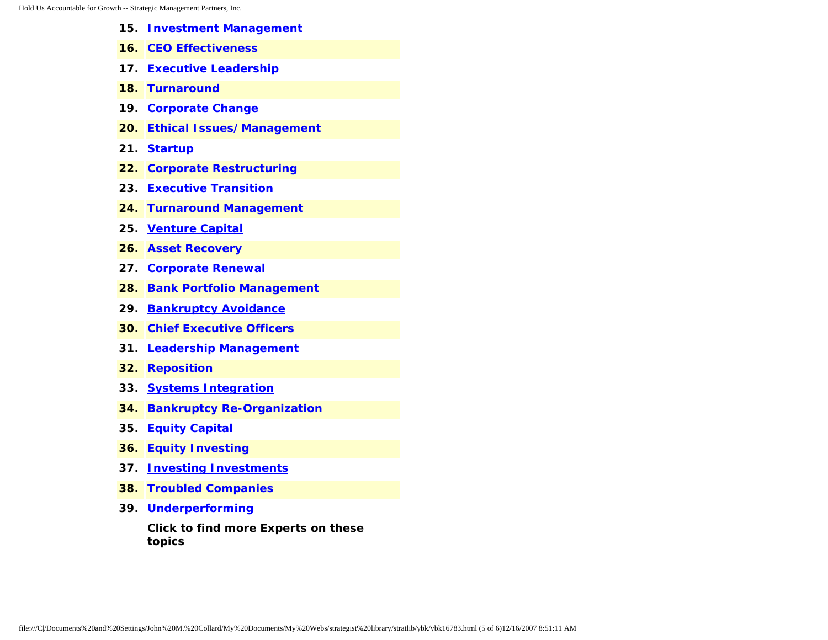- **15. [Investment Management](http://www.expertclick.com/search/default.cfm?SearchCriteria=Investment Management)**
- **16. [CEO Effectiveness](http://www.expertclick.com/search/default.cfm?SearchCriteria=CEO Effectiveness)**
- **17. [Executive Leadership](http://www.expertclick.com/search/default.cfm?SearchCriteria=Executive Leadership)**
- **18. [Turnaround](http://www.expertclick.com/search/default.cfm?SearchCriteria=Turnaround)**
- **19. [Corporate Change](http://www.expertclick.com/search/default.cfm?SearchCriteria=Corporate Change)**
- **20. [Ethical Issues/Management](http://www.expertclick.com/search/default.cfm?SearchCriteria=Ethical Issues/Management)**
- **21. [Startup](http://www.expertclick.com/search/default.cfm?SearchCriteria=Startup)**
- **22. [Corporate Restructuring](http://www.expertclick.com/search/default.cfm?SearchCriteria=Corporate Restructuring)**
- **23. [Executive Transition](http://www.expertclick.com/search/default.cfm?SearchCriteria=Executive Transition)**
- **24. [Turnaround Management](http://www.expertclick.com/search/default.cfm?SearchCriteria=Turnaround Management)**
- **25. [Venture Capital](http://www.expertclick.com/search/default.cfm?SearchCriteria=Venture Capital)**
- **26. [Asset Recovery](http://www.expertclick.com/search/default.cfm?SearchCriteria=Asset Recovery)**
- **27. [Corporate Renewal](http://www.expertclick.com/search/default.cfm?SearchCriteria=Corporate Renewal)**
- **28. [Bank Portfolio Management](http://www.expertclick.com/search/default.cfm?SearchCriteria=Bank Portfolio Management)**
- **29. [Bankruptcy Avoidance](http://www.expertclick.com/search/default.cfm?SearchCriteria=Bankruptcy Avoidance)**
- **30. [Chief Executive Officers](http://www.expertclick.com/search/default.cfm?SearchCriteria=Chief Executive Officers)**
- **31. [Leadership Management](http://www.expertclick.com/search/default.cfm?SearchCriteria=Leadership Management)**
- **32. [Reposition](http://www.expertclick.com/search/default.cfm?SearchCriteria=Reposition)**
- **33. [Systems Integration](http://www.expertclick.com/search/default.cfm?SearchCriteria=Systems Integration)**
- **34. [Bankruptcy Re-Organization](http://www.expertclick.com/search/default.cfm?SearchCriteria=Bankruptcy Re-Organization)**
- **35. [Equity Capital](http://www.expertclick.com/search/default.cfm?SearchCriteria=Equity Capital)**
- **36. [Equity Investing](http://www.expertclick.com/search/default.cfm?SearchCriteria=Equity Investing)**
- **37. [Investing Investments](http://www.expertclick.com/search/default.cfm?SearchCriteria=Investing Investments)**
- **38. [Troubled Companies](http://www.expertclick.com/search/default.cfm?SearchCriteria=Troubled Companies)**
- **39. [Underperforming](http://www.expertclick.com/search/default.cfm?SearchCriteria=Underperforming)**

**Click to find more Experts on these topics**